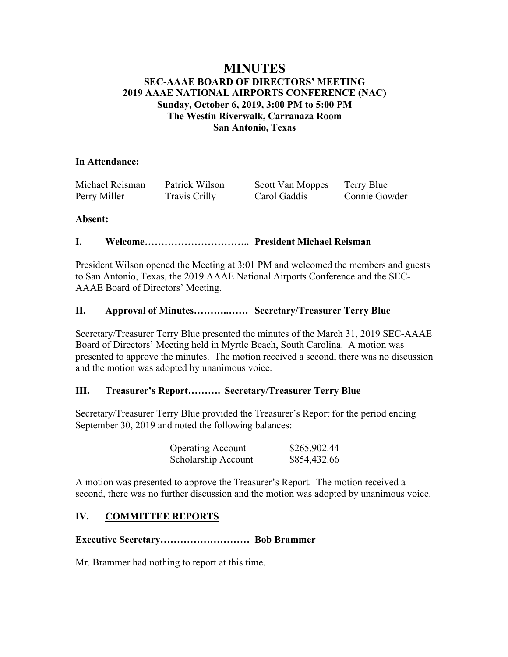## **MINUTES SEC-AAAE BOARD OF DIRECTORS' MEETING 2019 AAAE NATIONAL AIRPORTS CONFERENCE (NAC) Sunday, October 6, 2019, 3:00 PM to 5:00 PM The Westin Riverwalk, Carranaza Room San Antonio, Texas**

### **In Attendance:**

| Michael Reisman | Patrick Wilson | Scott Van Moppes | Terry Blue    |
|-----------------|----------------|------------------|---------------|
| Perry Miller    | Travis Crilly  | Carol Gaddis     | Connie Gowder |

### **Absent:**

## **I. Welcome………………………….. President Michael Reisman**

President Wilson opened the Meeting at 3:01 PM and welcomed the members and guests to San Antonio, Texas, the 2019 AAAE National Airports Conference and the SEC-AAAE Board of Directors' Meeting.

## **II. Approval of Minutes………..…… Secretary/Treasurer Terry Blue**

Secretary/Treasurer Terry Blue presented the minutes of the March 31, 2019 SEC-AAAE Board of Directors' Meeting held in Myrtle Beach, South Carolina. A motion was presented to approve the minutes. The motion received a second, there was no discussion and the motion was adopted by unanimous voice.

## **III. Treasurer's Report………. Secretary/Treasurer Terry Blue**

Secretary/Treasurer Terry Blue provided the Treasurer's Report for the period ending September 30, 2019 and noted the following balances:

| <b>Operating Account</b> | \$265,902.44 |
|--------------------------|--------------|
| Scholarship Account      | \$854,432.66 |

A motion was presented to approve the Treasurer's Report. The motion received a second, there was no further discussion and the motion was adopted by unanimous voice.

## **IV. COMMITTEE REPORTS**

### **Executive Secretary……………………… Bob Brammer**

Mr. Brammer had nothing to report at this time.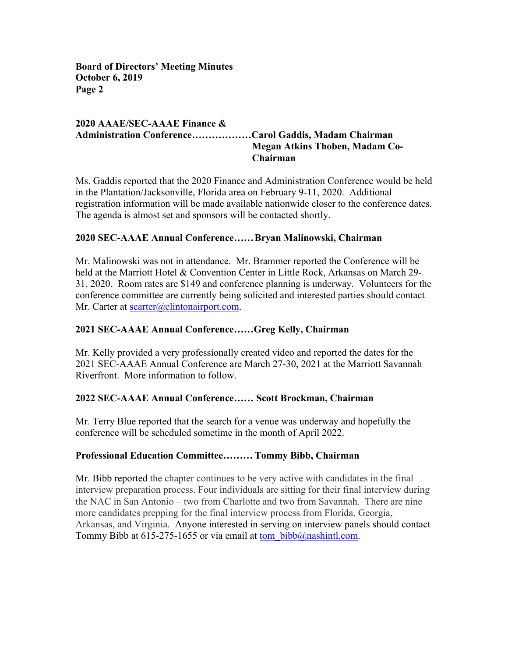## **2020 AAAE/SEC-AAAE Finance & Administration Conference………………Carol Gaddis, Madam Chairman Megan Atkins Thoben, Madam Co-Chairman**

Ms. Gaddis reported that the 2020 Finance and Administration Conference would be held in the Plantation/Jacksonville, Florida area on February 9-11, 2020. Additional registration information will be made available nationwide closer to the conference dates. The agenda is almost set and sponsors will be contacted shortly.

## **2020 SEC-AAAE Annual Conference……Bryan Malinowski, Chairman**

Mr. Malinowski was not in attendance. Mr. Brammer reported the Conference will be held at the Marriott Hotel & Convention Center in Little Rock, Arkansas on March 29- 31, 2020. Room rates are \$149 and conference planning is underway. Volunteers for the conference committee are currently being solicited and interested parties should contact Mr. Carter at scarter@clintonairport.com.

### **2021 SEC-AAAE Annual Conference……Greg Kelly, Chairman**

Mr. Kelly provided a very professionally created video and reported the dates for the 2021 SEC-AAAE Annual Conference are March 27-30, 2021 at the Marriott Savannah Riverfront. More information to follow.

## **2022 SEC-AAAE Annual Conference…… Scott Brockman, Chairman**

Mr. Terry Blue reported that the search for a venue was underway and hopefully the conference will be scheduled sometime in the month of April 2022.

## **Professional Education Committee……… Tommy Bibb, Chairman**

Mr. Bibb reported the chapter continues to be very active with candidates in the final interview preparation process. Four individuals are sitting for their final interview during the NAC in San Antonio – two from Charlotte and two from Savannah. There are nine more candidates prepping for the final interview process from Florida, Georgia, Arkansas, and Virginia. Anyone interested in serving on interview panels should contact Tommy Bibb at 615-275-1655 or via email at tom bibb@nashintl.com.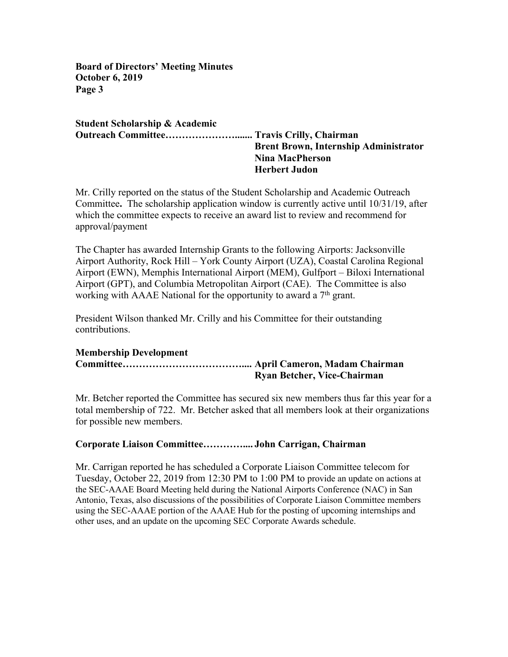**Student Scholarship & Academic Outreach Committee…………………....... Travis Crilly, Chairman Brent Brown, Internship Administrator Nina MacPherson Herbert Judon**

Mr. Crilly reported on the status of the Student Scholarship and Academic Outreach Committee**.** The scholarship application window is currently active until 10/31/19, after which the committee expects to receive an award list to review and recommend for approval/payment

The Chapter has awarded Internship Grants to the following Airports: Jacksonville Airport Authority, Rock Hill – York County Airport (UZA), Coastal Carolina Regional Airport (EWN), Memphis International Airport (MEM), Gulfport – Biloxi International Airport (GPT), and Columbia Metropolitan Airport (CAE). The Committee is also working with AAAE National for the opportunity to award a  $7<sup>th</sup>$  grant.

President Wilson thanked Mr. Crilly and his Committee for their outstanding contributions.

### **Membership Development Committee……………………………….... April Cameron, Madam Chairman Ryan Betcher, Vice-Chairman**

Mr. Betcher reported the Committee has secured six new members thus far this year for a total membership of 722. Mr. Betcher asked that all members look at their organizations for possible new members.

### **Corporate Liaison Committee………….... John Carrigan, Chairman**

Mr. Carrigan reported he has scheduled a Corporate Liaison Committee telecom for Tuesday, October 22, 2019 from 12:30 PM to 1:00 PM to provide an update on actions at the SEC-AAAE Board Meeting held during the National Airports Conference (NAC) in San Antonio, Texas, also discussions of the possibilities of Corporate Liaison Committee members using the SEC-AAAE portion of the AAAE Hub for the posting of upcoming internships and other uses, and an update on the upcoming SEC Corporate Awards schedule.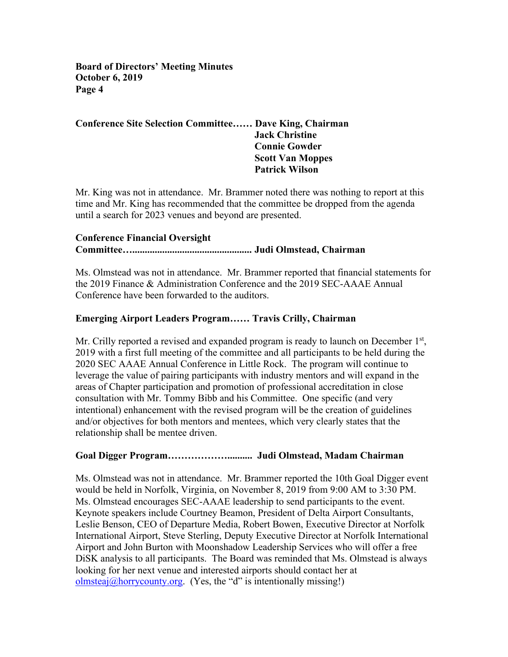## **Conference Site Selection Committee…… Dave King, Chairman Jack Christine Connie Gowder Scott Van Moppes Patrick Wilson**

Mr. King was not in attendance. Mr. Brammer noted there was nothing to report at this time and Mr. King has recommended that the committee be dropped from the agenda until a search for 2023 venues and beyond are presented.

### **Conference Financial Oversight**

### **Committee…................................................ Judi Olmstead, Chairman**

Ms. Olmstead was not in attendance. Mr. Brammer reported that financial statements for the 2019 Finance & Administration Conference and the 2019 SEC-AAAE Annual Conference have been forwarded to the auditors.

## **Emerging Airport Leaders Program…… Travis Crilly, Chairman**

Mr. Crilly reported a revised and expanded program is ready to launch on December 1<sup>st</sup>, 2019 with a first full meeting of the committee and all participants to be held during the 2020 SEC AAAE Annual Conference in Little Rock. The program will continue to leverage the value of pairing participants with industry mentors and will expand in the areas of Chapter participation and promotion of professional accreditation in close consultation with Mr. Tommy Bibb and his Committee. One specific (and very intentional) enhancement with the revised program will be the creation of guidelines and/or objectives for both mentors and mentees, which very clearly states that the relationship shall be mentee driven.

## **Goal Digger Program……………….......... Judi Olmstead, Madam Chairman**

Ms. Olmstead was not in attendance. Mr. Brammer reported the 10th Goal Digger event would be held in Norfolk, Virginia, on November 8, 2019 from 9:00 AM to 3:30 PM. Ms. Olmstead encourages SEC-AAAE leadership to send participants to the event. Keynote speakers include Courtney Beamon, President of Delta Airport Consultants, Leslie Benson, CEO of Departure Media, Robert Bowen, Executive Director at Norfolk International Airport, Steve Sterling, Deputy Executive Director at Norfolk International Airport and John Burton with Moonshadow Leadership Services who will offer a free DiSK analysis to all participants. The Board was reminded that Ms. Olmstead is always looking for her next venue and interested airports should contact her at  $\frac{\text{olmstea}(a\text{horry} \text{county} \text{.} \text{org.}}{\text{Tr}(X)}$  (Yes, the "d" is intentionally missing!)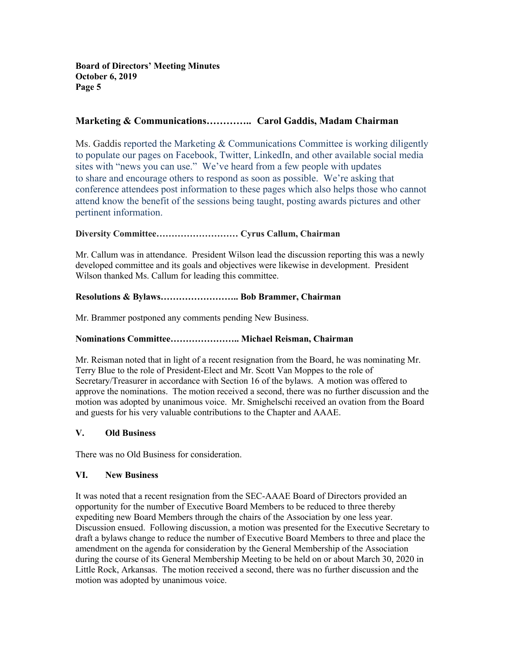### **Marketing & Communications………….. Carol Gaddis, Madam Chairman**

Ms. Gaddis reported the Marketing & Communications Committee is working diligently to populate our pages on Facebook, Twitter, LinkedIn, and other available social media sites with "news you can use." We've heard from a few people with updates to share and encourage others to respond as soon as possible. We're asking that conference attendees post information to these pages which also helps those who cannot attend know the benefit of the sessions being taught, posting awards pictures and other pertinent information.

### **Diversity Committee……………………… Cyrus Callum, Chairman**

Mr. Callum was in attendance. President Wilson lead the discussion reporting this was a newly developed committee and its goals and objectives were likewise in development. President Wilson thanked Ms. Callum for leading this committee.

### **Resolutions & Bylaws…………………….. Bob Brammer, Chairman**

Mr. Brammer postponed any comments pending New Business.

#### **Nominations Committee………………….. Michael Reisman, Chairman**

Mr. Reisman noted that in light of a recent resignation from the Board, he was nominating Mr. Terry Blue to the role of President-Elect and Mr. Scott Van Moppes to the role of Secretary/Treasurer in accordance with Section 16 of the bylaws. A motion was offered to approve the nominations. The motion received a second, there was no further discussion and the motion was adopted by unanimous voice. Mr. Smighelschi received an ovation from the Board and guests for his very valuable contributions to the Chapter and AAAE.

#### **V. Old Business**

There was no Old Business for consideration.

#### **VI. New Business**

It was noted that a recent resignation from the SEC-AAAE Board of Directors provided an opportunity for the number of Executive Board Members to be reduced to three thereby expediting new Board Members through the chairs of the Association by one less year. Discussion ensued. Following discussion, a motion was presented for the Executive Secretary to draft a bylaws change to reduce the number of Executive Board Members to three and place the amendment on the agenda for consideration by the General Membership of the Association during the course of its General Membership Meeting to be held on or about March 30, 2020 in Little Rock, Arkansas. The motion received a second, there was no further discussion and the motion was adopted by unanimous voice.